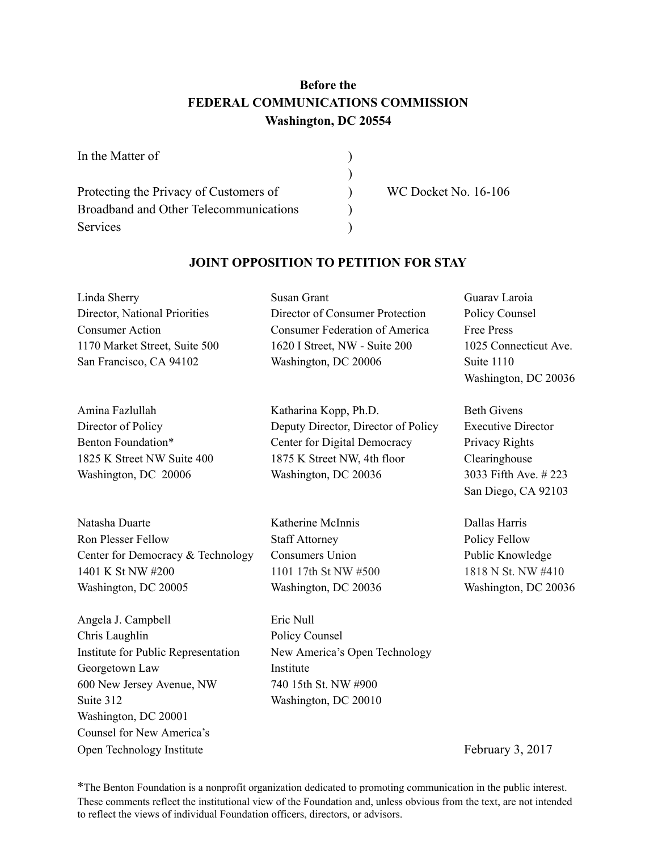# **Before the FEDERAL COMMUNICATIONS COMMISSION Washington, DC 20554**

| In the Matter of                       |                             |
|----------------------------------------|-----------------------------|
|                                        |                             |
| Protecting the Privacy of Customers of | <b>WC Docket No. 16-106</b> |
| Broadband and Other Telecommunications |                             |
| <b>Services</b>                        |                             |

## **JOINT OPPOSITION TO PETITION FOR STAY**

| Linda Sherry<br>Director, National Priorities<br><b>Consumer Action</b><br>1170 Market Street, Suite 500<br>San Francisco, CA 94102 | Susan Grant<br>Director of Consumer Protection<br><b>Consumer Federation of America</b><br>1620 I Street, NW - Suite 200<br>Washington, DC 20006    | Guarav Laroia<br>Policy Counsel<br><b>Free Press</b><br>1025 Connecticut Ave.<br>Suite 1110<br>Washington, DC 20036               |
|-------------------------------------------------------------------------------------------------------------------------------------|-----------------------------------------------------------------------------------------------------------------------------------------------------|-----------------------------------------------------------------------------------------------------------------------------------|
| Amina Fazlullah<br>Director of Policy<br>Benton Foundation*<br>1825 K Street NW Suite 400<br>Washington, DC 20006                   | Katharina Kopp, Ph.D.<br>Deputy Director, Director of Policy<br>Center for Digital Democracy<br>1875 K Street NW, 4th floor<br>Washington, DC 20036 | <b>Beth Givens</b><br><b>Executive Director</b><br>Privacy Rights<br>Clearinghouse<br>3033 Fifth Ave. #223<br>San Diego, CA 92103 |
| Natasha Duarte<br><b>Ron Plesser Fellow</b><br>Center for Democracy & Technology<br>1401 K St NW #200<br>Washington, DC 20005       | Katherine McInnis<br><b>Staff Attorney</b><br><b>Consumers Union</b><br>1101 17th St NW #500<br>Washington, DC 20036                                | Dallas Harris<br>Policy Fellow<br>Public Knowledge<br>1818 N St. NW #410<br>Washington, DC 20036                                  |
| Angela J. Campbell                                                                                                                  | Eric Null                                                                                                                                           |                                                                                                                                   |

Chris Laughlin Policy Counsel Institute for Public Representation New America's Open Technology Georgetown Law Institute 600 New Jersey Avenue, NW 740 15th St. NW #900 Suite 312 Washington, DC 20010 Washington, DC 20001 Counsel for New America's Open Technology Institute February 3, 2017

\* The Benton Foundation is a nonprofit organization dedicated to promoting communication in the public interest. These comments reflect the institutional view of the Foundation and, unless obvious from the text, are not intended to reflect the views of individual Foundation officers, directors, or advisors.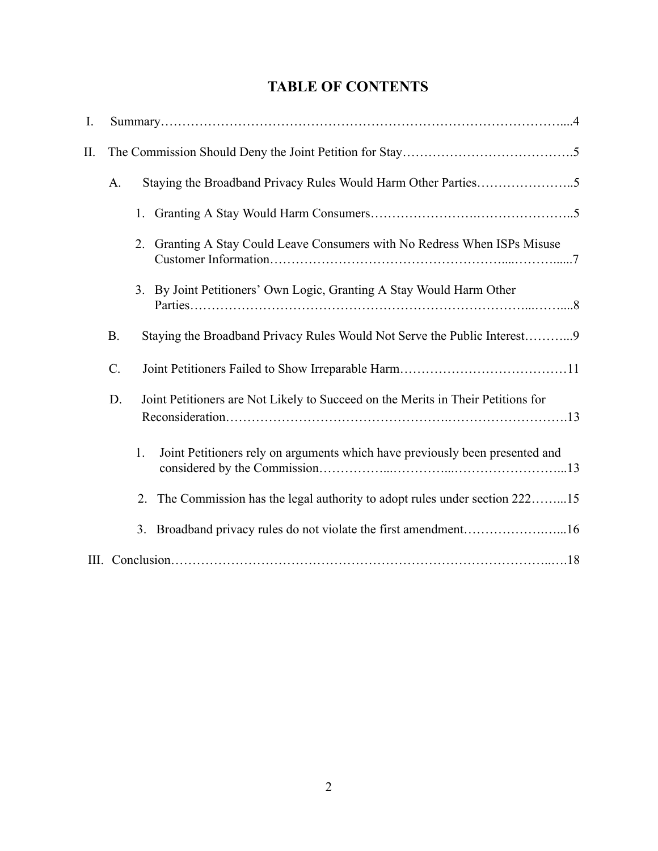# **TABLE OF CONTENTS**

| I.      |           |                                                                                    |  |
|---------|-----------|------------------------------------------------------------------------------------|--|
| $\prod$ |           |                                                                                    |  |
|         | A.        |                                                                                    |  |
|         |           | 1.                                                                                 |  |
|         |           | Granting A Stay Could Leave Consumers with No Redress When ISPs Misuse<br>2.       |  |
|         |           | 3. By Joint Petitioners' Own Logic, Granting A Stay Would Harm Other               |  |
|         | <b>B.</b> | Staying the Broadband Privacy Rules Would Not Serve the Public Interest9           |  |
|         | $C$ .     |                                                                                    |  |
|         | D.        | Joint Petitioners are Not Likely to Succeed on the Merits in Their Petitions for   |  |
|         |           | Joint Petitioners rely on arguments which have previously been presented and<br>1. |  |
|         |           | The Commission has the legal authority to adopt rules under section 22215<br>2.    |  |
|         |           | Broadband privacy rules do not violate the first amendment16<br>3 <sub>1</sub>     |  |
|         |           |                                                                                    |  |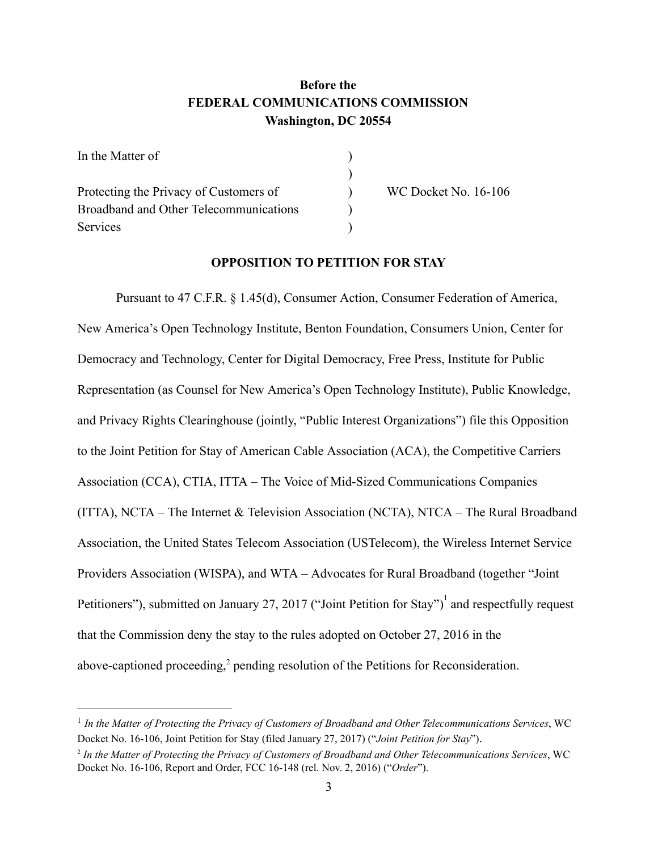# **Before the FEDERAL COMMUNICATIONS COMMISSION Washington, DC 20554**

| In the Matter of                       |  |
|----------------------------------------|--|
|                                        |  |
| Protecting the Privacy of Customers of |  |
| Broadband and Other Telecommunications |  |
| Services                               |  |

WC Docket No. 16-106

## **OPPOSITION TO PETITION FOR STAY**

Pursuant to 47 C.F.R. § 1.45(d), Consumer Action, Consumer Federation of America, New America's Open Technology Institute, Benton Foundation, Consumers Union, Center for Democracy and Technology, Center for Digital Democracy, Free Press, Institute for Public Representation (as Counsel for New America's Open Technology Institute), Public Knowledge, and Privacy Rights Clearinghouse (jointly, "Public Interest Organizations") file this Opposition to the Joint Petition for Stay of American Cable Association (ACA), the Competitive Carriers Association (CCA), CTIA, ITTA – The Voice of Mid-Sized Communications Companies (ITTA), NCTA – The Internet & Television Association (NCTA), NTCA – The Rural Broadband Association, the United States Telecom Association (USTelecom), the Wireless Internet Service Providers Association (WISPA), and WTA – Advocates for Rural Broadband (together "Joint" Petitioners"), submitted on January 27, 2017 ("Joint Petition for Stay")<sup>1</sup> and respectfully request that the Commission deny the stay to the rules adopted on October 27, 2016 in the above-captioned proceeding,<sup>2</sup> pending resolution of the Petitions for Reconsideration.

<sup>1</sup> *In the Matter of Protecting the Privacy of Customers of Broadband and Other Telecommunications Services*, WC Docket No. 16106, Joint Petition for Stay (filed January 27, 2017) ("*Joint Petition for Stay*").

<sup>2</sup> *In the Matter of Protecting the Privacy of Customers of Broadband and Other Telecommunications Services*, WC Docket No. 16106, Report and Order, FCC 16148 (rel. Nov. 2, 2016) ("*Order*").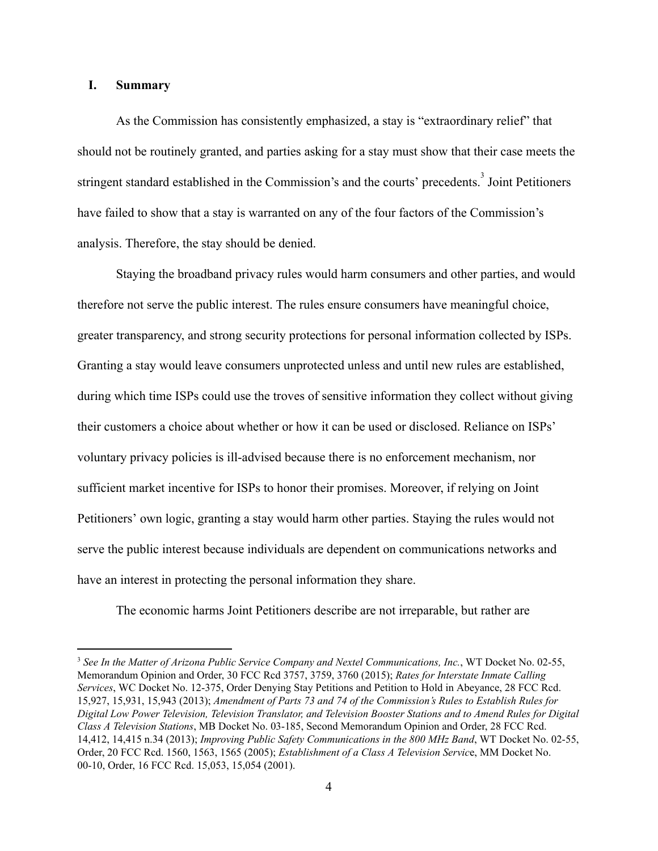## **I. Summary**

As the Commission has consistently emphasized, a stay is "extraordinary relief" that should not be routinely granted, and parties asking for a stay must show that their case meets the stringent standard established in the Commission's and the courts' precedents.<sup>3</sup> Joint Petitioners have failed to show that a stay is warranted on any of the four factors of the Commission's analysis. Therefore, the stay should be denied.

Staying the broadband privacy rules would harm consumers and other parties, and would therefore not serve the public interest. The rules ensure consumers have meaningful choice, greater transparency, and strong security protections for personal information collected by ISPs. Granting a stay would leave consumers unprotected unless and until new rules are established, during which time ISPs could use the troves of sensitive information they collect without giving their customers a choice about whether or how it can be used or disclosed. Reliance on ISPs' voluntary privacy policies is ill-advised because there is no enforcement mechanism, nor sufficient market incentive for ISPs to honor their promises. Moreover, if relying on Joint Petitioners' own logic, granting a stay would harm other parties. Staying the rules would not serve the public interest because individuals are dependent on communications networks and have an interest in protecting the personal information they share.

The economic harms Joint Petitioners describe are not irreparable, but rather are

<sup>3</sup> *See In the Matter of Arizona Public Service Company and Nextel Communications, Inc.*, WT Docket No. 0255, Memorandum Opinion and Order, 30 FCC Rcd 3757, 3759, 3760 (2015); *Rates for Interstate Inmate Calling Services*, WC Docket No. 12375, Order Denying Stay Petitions and Petition to Hold in Abeyance, 28 FCC Rcd. 15,927, 15,931, 15,943 (2013); *Amendment of Parts 73 and 74 of the Commission's Rules to Establish Rules for* Digital Low Power Television, Television Translator, and Television Booster Stations and to Amend Rules for Digital *Class A Television Stations*, MB Docket No. 03185, Second Memorandum Opinion and Order, 28 FCC Rcd. 14,412, 14,415 n.34 (2013); *Improving Public Safety Communications in the 800 MHz Band*, WT Docket No. 0255, Order, 20 FCC Rcd. 1560, 1563, 1565 (2005); *Establishment of a Class A Television Servic*e, MM Docket No. 00-10, Order, 16 FCC Rcd. 15,053, 15,054 (2001).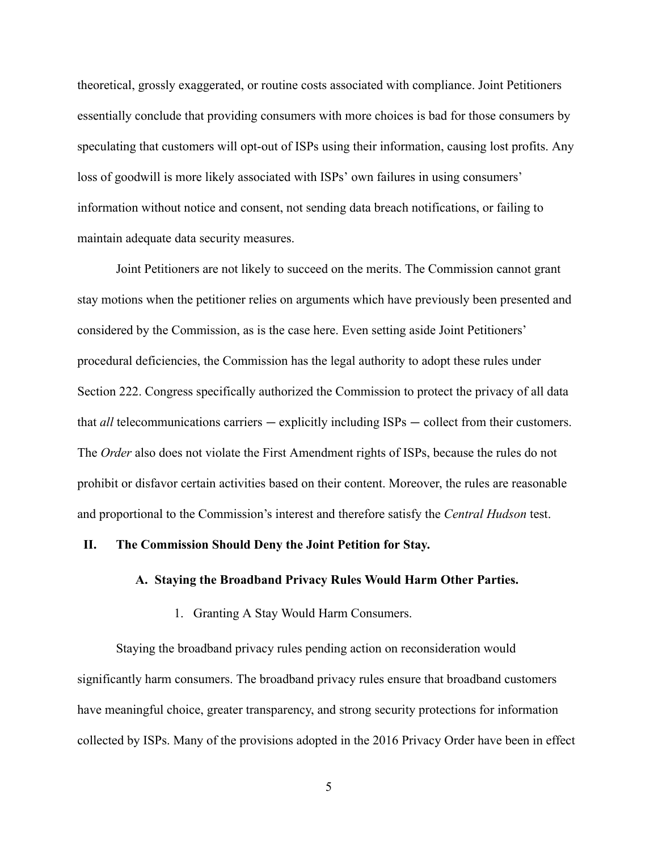theoretical, grossly exaggerated, or routine costs associated with compliance. Joint Petitioners essentially conclude that providing consumers with more choices is bad for those consumers by speculating that customers will opt-out of ISPs using their information, causing lost profits. Any loss of goodwill is more likely associated with ISPs' own failures in using consumers' information without notice and consent, not sending data breach notifications, or failing to maintain adequate data security measures.

Joint Petitioners are not likely to succeed on the merits. The Commission cannot grant stay motions when the petitioner relies on arguments which have previously been presented and considered by the Commission, as is the case here. Even setting aside Joint Petitioners' procedural deficiencies, the Commission has the legal authority to adopt these rules under Section 222. Congress specifically authorized the Commission to protect the privacy of all data that *all* telecommunications carriers — explicitly including ISPs — collect from their customers. The *Order* also does not violate the First Amendment rights of ISPs, because the rules do not prohibit or disfavor certain activities based on their content. Moreover, the rules are reasonable and proportional to the Commission's interest and therefore satisfy the *Central Hudson* test.

#### **II. The Commission Should Deny the Joint Petition for Stay.**

## **A. Staying the Broadband Privacy Rules Would Harm Other Parties.**

1. Granting A Stay Would Harm Consumers.

Staying the broadband privacy rules pending action on reconsideration would significantly harm consumers. The broadband privacy rules ensure that broadband customers have meaningful choice, greater transparency, and strong security protections for information collected by ISPs. Many of the provisions adopted in the 2016 Privacy Order have been in effect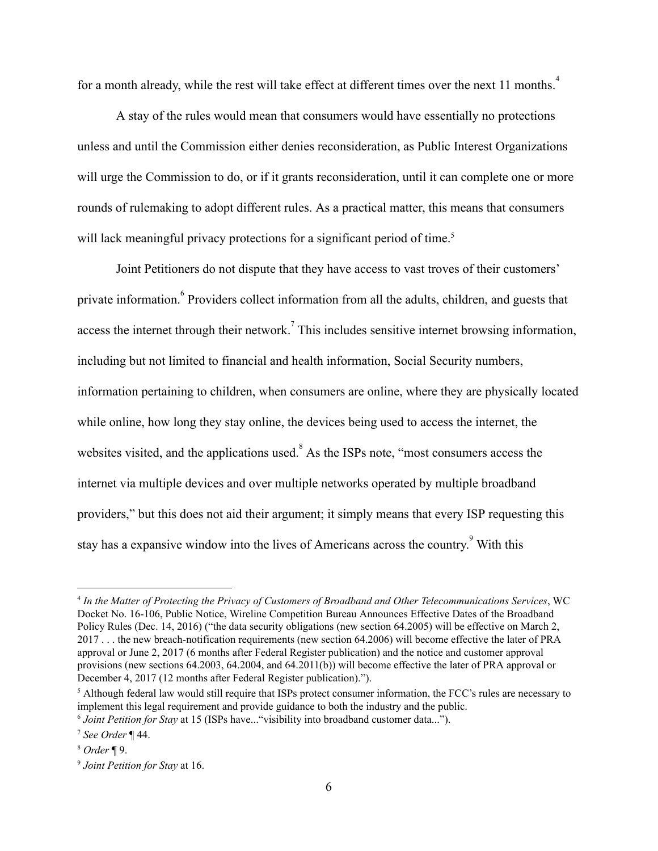for a month already, while the rest will take effect at different times over the next 11 months.<sup>4</sup>

A stay of the rules would mean that consumers would have essentially no protections unless and until the Commission either denies reconsideration, as Public Interest Organizations will urge the Commission to do, or if it grants reconsideration, until it can complete one or more rounds of rulemaking to adopt different rules. As a practical matter, this means that consumers will lack meaningful privacy protections for a significant period of time.<sup>5</sup>

Joint Petitioners do not dispute that they have access to vast troves of their customers' private information.<sup>6</sup> Providers collect information from all the adults, children, and guests that access the internet through their network.<sup>7</sup> This includes sensitive internet browsing information, including but not limited to financial and health information, Social Security numbers, information pertaining to children, when consumers are online, where they are physically located while online, how long they stay online, the devices being used to access the internet, the websites visited, and the applications used.<sup>8</sup> As the ISPs note, "most consumers access the internet via multiple devices and over multiple networks operated by multiple broadband providers," but this does not aid their argument; it simply means that every ISP requesting this stay has a expansive window into the lives of Americans across the country.<sup>9</sup> With this

<sup>4</sup> *In the Matter of Protecting the Privacy of Customers of Broadband and Other Telecommunications Services*, WC Docket No. 16106, Public Notice, Wireline Competition Bureau Announces Effective Dates of the Broadband Policy Rules (Dec. 14, 2016) ("the data security obligations (new section 64.2005) will be effective on March 2, 2017 . . . the new breach-notification requirements (new section 64.2006) will become effective the later of PRA approval or June 2, 2017 (6 months after Federal Register publication) and the notice and customer approval provisions (new sections 64.2003, 64.2004, and 64.2011(b)) will become effective the later of PRA approval or December 4, 2017 (12 months after Federal Register publication).").

<sup>5</sup> Although federal law would still require that ISPs protect consumer information, the FCC's rules are necessary to implement this legal requirement and provide guidance to both the industry and the public. <sup>6</sup> *Joint Petition for Stay* at 15 (ISPs have..."visibility into broadband customer data...").

<sup>7</sup> *See Order* ¶ 44.

<sup>8</sup> *Order* ¶ 9.

<sup>9</sup> *Joint Petition for Stay* at 16.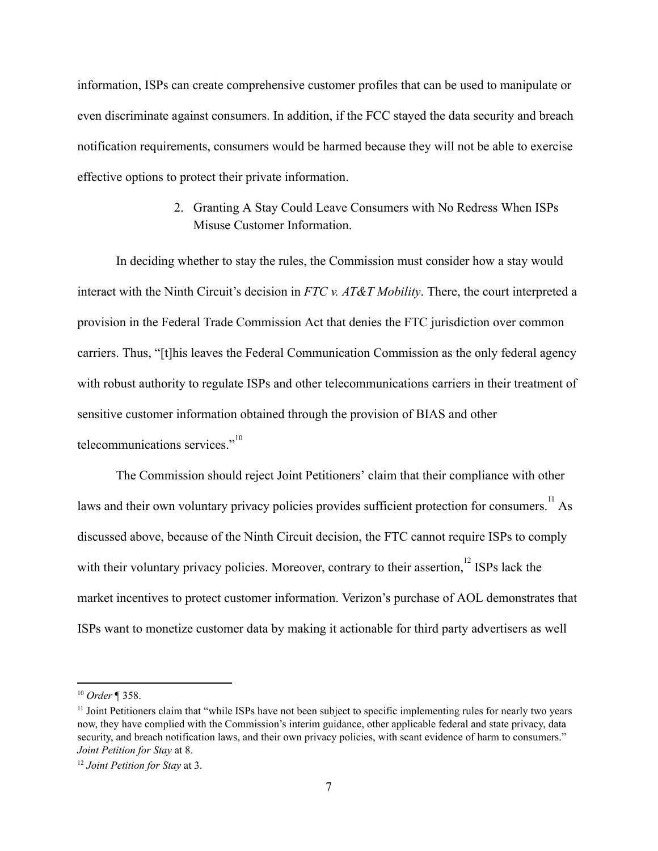information, ISPs can create comprehensive customer profiles that can be used to manipulate or even discriminate against consumers. In addition, if the FCC stayed the data security and breach notification requirements, consumers would be harmed because they will not be able to exercise effective options to protect their private information.

> 2. Granting A Stay Could Leave Consumers with No Redress When ISPs Misuse Customer Information.

In deciding whether to stay the rules, the Commission must consider how a stay would interact with the Ninth Circuit's decision in *FTC v. AT&T Mobility* . There, the court interpreted a provision in the Federal Trade Commission Act that denies the FTC jurisdiction over common carriers. Thus, "[t]his leaves the Federal Communication Commission as the only federal agency with robust authority to regulate ISPs and other telecommunications carriers in their treatment of sensitive customer information obtained through the provision of BIAS and other telecommunications services."<sup>10</sup>

The Commission should reject Joint Petitioners' claim that their compliance with other laws and their own voluntary privacy policies provides sufficient protection for consumers.<sup>11</sup> As discussed above, because of the Ninth Circuit decision, the FTC cannot require ISPs to comply with their voluntary privacy policies. Moreover, contrary to their assertion,  $12$  ISPs lack the market incentives to protect customer information. Verizon's purchase of AOL demonstrates that ISPs want to monetize customer data by making it actionable for third party advertisers as well

<sup>10</sup> *Order* ¶ 358.

<sup>&</sup>lt;sup>11</sup> Joint Petitioners claim that "while ISPs have not been subject to specific implementing rules for nearly two years now, they have complied with the Commission's interim guidance, other applicable federal and state privacy, data security, and breach notification laws, and their own privacy policies, with scant evidence of harm to consumers." *Joint Petition for Stay* at 8.

<sup>12</sup> *Joint Petition for Stay* at 3.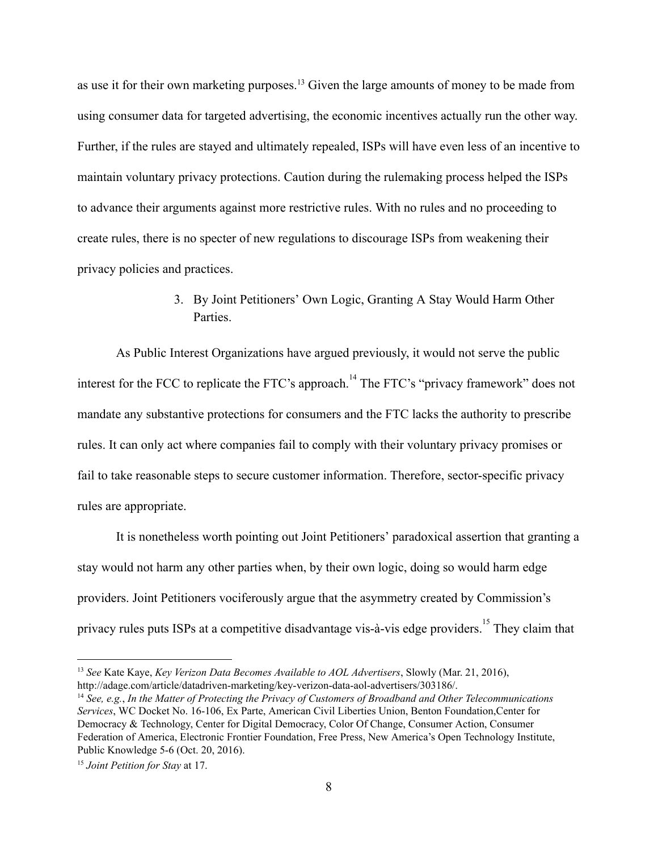as use it for their own marketing purposes.<sup>13</sup> Given the large amounts of money to be made from using consumer data for targeted advertising, the economic incentives actually run the other way. Further, if the rules are stayed and ultimately repealed, ISPs will have even less of an incentive to maintain voluntary privacy protections. Caution during the rulemaking process helped the ISPs to advance their arguments against more restrictive rules. With no rules and no proceeding to create rules, there is no specter of new regulations to discourage ISPs from weakening their privacy policies and practices.

# 3. By Joint Petitioners' Own Logic, Granting A Stay Would Harm Other **Parties**

As Public Interest Organizations have argued previously, it would not serve the public interest for the FCC to replicate the FTC's approach.<sup>14</sup> The FTC's "privacy framework" does not mandate any substantive protections for consumers and the FTC lacks the authority to prescribe rules. It can only act where companies fail to comply with their voluntary privacy promises or fail to take reasonable steps to secure customer information. Therefore, sector-specific privacy rules are appropriate.

It is nonetheless worth pointing out Joint Petitioners' paradoxical assertion that granting a stay would not harm any other parties when, by their own logic, doing so would harm edge providers. Joint Petitioners vociferously argue that the asymmetry created by Commission's privacy rules puts ISPs at a competitive disadvantage vis-à-vis edge providers.<sup>15</sup> They claim that

<sup>13</sup> *See* Kate Kaye, *Key Verizon Data Becomes Available to AOL Advertisers*, Slowly (Mar. 21, 2016), http://adage.com/article/datadriven-marketing/key-verizon-data-aol-advertisers/303186/.

<sup>14</sup> *See, e.g.*, *In the Matter of Protecting the Privacy of Customers of Broadband and Other Telecommunications Services*, WC Docket No. 16106, Ex Parte, American Civil Liberties Union, Benton Foundation,Center for Democracy & Technology, Center for Digital Democracy, Color Of Change, Consumer Action, Consumer Federation of America, Electronic Frontier Foundation, Free Press, New America's Open Technology Institute, Public Knowledge 5-6 (Oct. 20, 2016).

<sup>15</sup> *Joint Petition for Stay* at 17.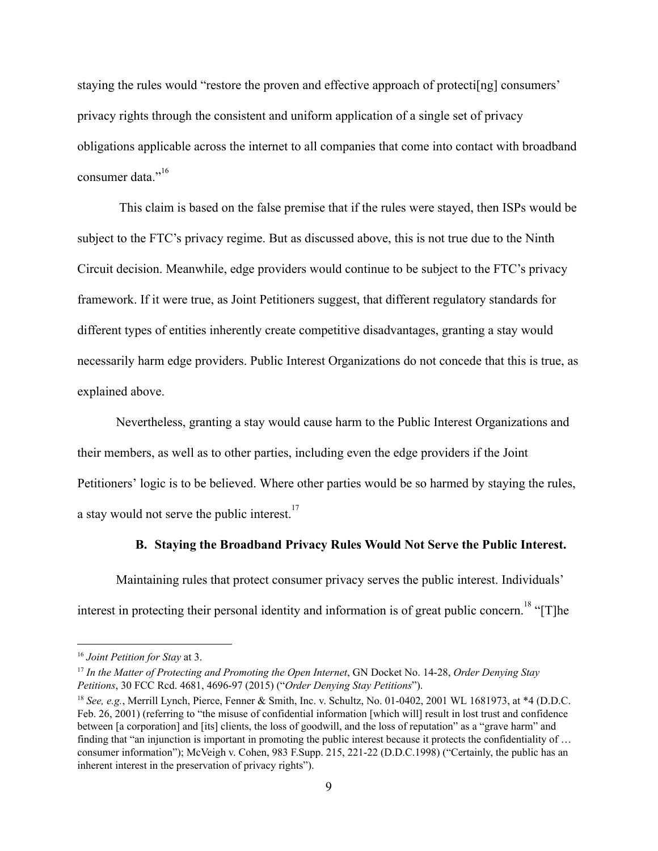staying the rules would "restore the proven and effective approach of protectional consumers" privacy rights through the consistent and uniform application of a single set of privacy obligations applicable across the internet to all companies that come into contact with broadband consumer data<sup>",16</sup>

This claim is based on the false premise that if the rules were stayed, then ISPs would be subject to the FTC's privacy regime. But as discussed above, this is not true due to the Ninth Circuit decision. Meanwhile, edge providers would continue to be subject to the FTC's privacy framework. If it were true, as Joint Petitioners suggest, that different regulatory standards for different types of entities inherently create competitive disadvantages, granting a stay would necessarily harm edge providers. Public Interest Organizations do not concede that this is true, as explained above.

Nevertheless, granting a stay would cause harm to the Public Interest Organizations and their members, as well as to other parties, including even the edge providers if the Joint Petitioners' logic is to be believed. Where other parties would be so harmed by staying the rules, a stay would not serve the public interest. $17$ 

## **B. Staying the Broadband Privacy Rules Would Not Serve the Public Interest.**

Maintaining rules that protect consumer privacy serves the public interest. Individuals' interest in protecting their personal identity and information is of great public concern.  $\frac{18}{18}$  "[T]he

<sup>16</sup> *Joint Petition for Stay* at 3.

<sup>17</sup> *In the Matter of Protecting and Promoting the Open Internet*, GN Docket No. 1428, *Order Denying Stay Petitions*, 30 FCC Rcd. 4681, 4696-97 (2015) ("*Order Denying Stay Petitions*").

 $^{18}$  *See, e.g.*, Merrill Lynch, Pierce, Fenner & Smith, Inc. v. Schultz, No. 01-0402, 2001 WL 1681973, at  $*4$  (D.D.C. Feb. 26, 2001) (referring to "the misuse of confidential information [which will] result in lost trust and confidence between [a corporation] and [its] clients, the loss of goodwill, and the loss of reputation" as a "grave harm" and finding that "an injunction is important in promoting the public interest because it protects the confidentiality of … consumer information"); McVeigh v. Cohen, 983 F.Supp. 215, 221-22 (D.D.C.1998) ("Certainly, the public has an inherent interest in the preservation of privacy rights").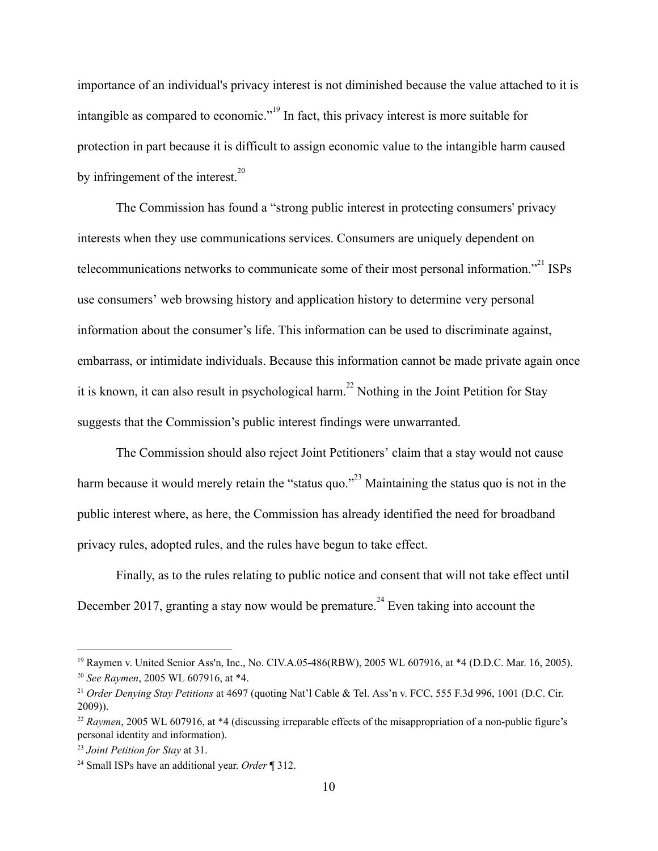importance of an individual's privacy interest is not diminished because the value attached to it is intangible as compared to economic."<sup> $19$ </sup> In fact, this privacy interest is more suitable for protection in part because it is difficult to assign economic value to the intangible harm caused by infringement of the interest. $^{20}$ 

The Commission has found a "strong public interest in protecting consumers' privacy interests when they use communications services. Consumers are uniquely dependent on telecommunications networks to communicate some of their most personal information. $1^{21}$  ISPs use consumers' web browsing history and application history to determine very personal information about the consumer's life. This information can be used to discriminate against, embarrass, or intimidate individuals. Because this information cannot be made private again once it is known, it can also result in psychological harm.<sup>22</sup> Nothing in the Joint Petition for Stay suggests that the Commission's public interest findings were unwarranted.

The Commission should also reject Joint Petitioners' claim that a stay would not cause harm because it would merely retain the "status quo."<sup>23</sup> Maintaining the status quo is not in the public interest where, as here, the Commission has already identified the need for broadband privacy rules, adopted rules, and the rules have begun to take effect.

Finally, as to the rules relating to public notice and consent that will not take effect until December 2017, granting a stay now would be premature.<sup>24</sup> Even taking into account the

<sup>&</sup>lt;sup>19</sup> Raymen v. United Senior Ass'n, Inc., No. CIV.A.05-486(RBW), 2005 WL 607916, at \*4 (D.D.C. Mar. 16, 2005). <sup>20</sup> *See Raymen*, 2005 WL 607916, at \*4.

<sup>21</sup> *Order Denying Stay Petitions* at 4697 (quoting Nat'l Cable & Tel. Ass'n v. FCC, 555 F.3d 996, 1001 (D.C. Cir. 2009)).

<sup>&</sup>lt;sup>22</sup> *Raymen*, 2005 WL 607916, at \*4 (discussing irreparable effects of the misappropriation of a non-public figure's personal identity and information).

<sup>23</sup> *Joint Petition for Stay* at 31.

<sup>24</sup> Small ISPs have an additional year. *Order* ¶ 312.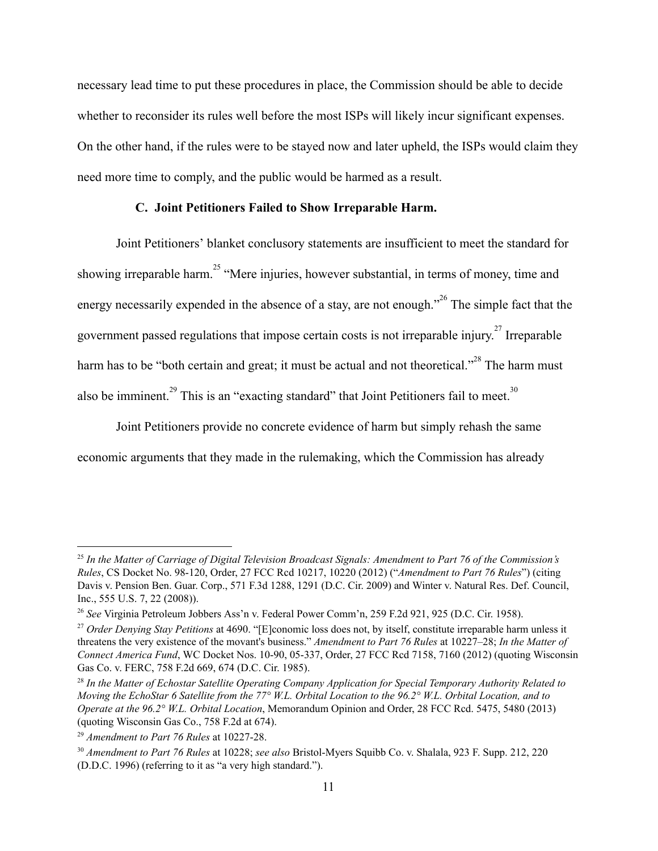necessary lead time to put these procedures in place, the Commission should be able to decide whether to reconsider its rules well before the most ISPs will likely incur significant expenses. On the other hand, if the rules were to be stayed now and later upheld, the ISPs would claim they need more time to comply, and the public would be harmed as a result.

#### **C. Joint Petitioners Failed to Show Irreparable Harm.**

Joint Petitioners' blanket conclusory statements are insufficient to meet the standard for showing irreparable harm.<sup>25</sup> "Mere injuries, however substantial, in terms of money, time and energy necessarily expended in the absence of a stay, are not enough.<sup> $26$ </sup> The simple fact that the government passed regulations that impose certain costs is not irreparable injury.<sup>27</sup> Irreparable harm has to be "both certain and great; it must be actual and not theoretical."<sup>28</sup> The harm must also be imminent.<sup>29</sup> This is an "exacting standard" that Joint Petitioners fail to meet.<sup>30</sup>

Joint Petitioners provide no concrete evidence of harm but simply rehash the same economic arguments that they made in the rulemaking, which the Commission has already

<sup>&</sup>lt;sup>25</sup> In the Matter of Carriage of Digital Television Broadcast Signals: Amendment to Part 76 of the Commission's *Rules*, CS Docket No. 98120, Order, 27 FCC Rcd 10217, 10220 (2012) ("*Amendment to Part 76 Rules*") (citing Davis v. Pension Ben. Guar. Corp., 571 F.3d 1288, 1291 (D.C. Cir. 2009) and Winter v. Natural Res. Def. Council, Inc., 555 U.S. 7, 22 (2008)).

<sup>26</sup> *See* Virginia Petroleum Jobbers Ass'n v. Federal Power Comm'n, 259 F.2d 921, 925 (D.C. Cir. 1958).

<sup>27</sup> *Order Denying Stay Petitions* at 4690. "[E]conomic loss does not, by itself, constitute irreparable harm unless it threatens the very existence of the movant's business." *Amendment to Part 76 Rules* at 10227–28; *In the Matter of Connect America Fund*, WC Docket Nos. 1090, 05337, Order, 27 FCC Rcd 7158, 7160 (2012) (quoting Wisconsin Gas Co. v. FERC, 758 F.2d 669, 674 (D.C. Cir. 1985).

<sup>28</sup> *In the Matter of Echostar Satellite Operating Company Application for Special Temporary Authority Related to* Moving the EchoStar 6 Satellite from the 77° W.L. Orbital Location to the  $96.2^{\circ}$  W.L. Orbital Location, and to *Operate at the 96.2° W.L. Orbital Location*, Memorandum Opinion and Order, 28 FCC Rcd. 5475, 5480 (2013) (quoting Wisconsin Gas Co., 758 F.2d at 674).

<sup>&</sup>lt;sup>29</sup> Amendment to Part 76 Rules at 10227-28.

<sup>&</sup>lt;sup>30</sup> Amendment to Part 76 Rules at 10228; see also Bristol-Myers Squibb Co. v. Shalala, 923 F. Supp. 212, 220 (D.D.C. 1996) (referring to it as "a very high standard.").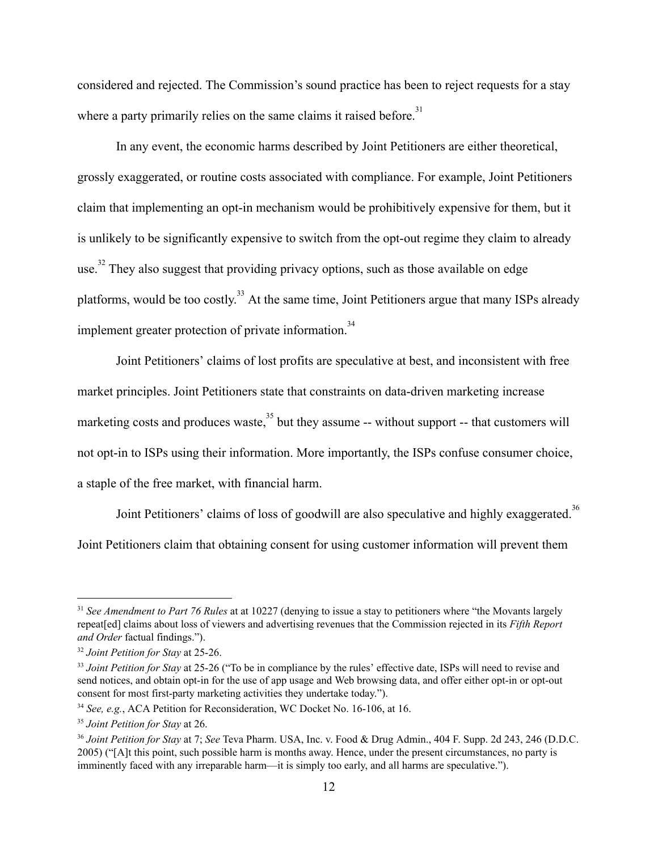considered and rejected. The Commission's sound practice has been to reject requests for a stay where a party primarily relies on the same claims it raised before.<sup>31</sup>

In any event, the economic harms described by Joint Petitioners are either theoretical, grossly exaggerated, or routine costs associated with compliance. For example, Joint Petitioners claim that implementing an opt-in mechanism would be prohibitively expensive for them, but it is unlikely to be significantly expensive to switch from the opt-out regime they claim to already use.<sup>32</sup> They also suggest that providing privacy options, such as those available on edge platforms, would be too costly.<sup>33</sup> At the same time, Joint Petitioners argue that many ISPs already implement greater protection of private information.<sup>34</sup>

Joint Petitioners' claims of lost profits are speculative at best, and inconsistent with free market principles. Joint Petitioners state that constraints on data-driven marketing increase marketing costs and produces waste,  $35$  but they assume  $-$  without support  $-$  that customers will not opt-in to ISPs using their information. More importantly, the ISPs confuse consumer choice, a staple of the free market, with financial harm.

Joint Petitioners' claims of loss of goodwill are also speculative and highly exaggerated.<sup>36</sup> Joint Petitioners claim that obtaining consent for using customer information will prevent them

<sup>31</sup> *See Amendment to Part 76 Rules* at at 10227 (denying to issue a stay to petitioners where "the Movants largely repeat[ed] claims about loss of viewers and advertising revenues that the Commission rejected in its *Fifth Report and Order* factual findings.").

<sup>32</sup> *Joint Petition for Stay* at 2526.

<sup>&</sup>lt;sup>33</sup> *Joint Petition for Stay* at 25-26 ("To be in compliance by the rules' effective date, ISPs will need to revise and send notices, and obtain opt-in for the use of app usage and Web browsing data, and offer either opt-in or opt-out consent for most first-party marketing activities they undertake today.").

<sup>&</sup>lt;sup>34</sup> *See, e.g., ACA Petition for Reconsideration, WC Docket No. 16-106, at 16.* 

<sup>35</sup> *Joint Petition for Stay* at 26.

<sup>36</sup> *Joint Petition for Stay* at 7; *See* Teva Pharm. USA, Inc. v. Food & Drug Admin., 404 F. Supp. 2d 243, 246 (D.D.C. 2005) ("[A]t this point, such possible harm is months away. Hence, under the present circumstances, no party is imminently faced with any irreparable harm—it is simply too early, and all harms are speculative.").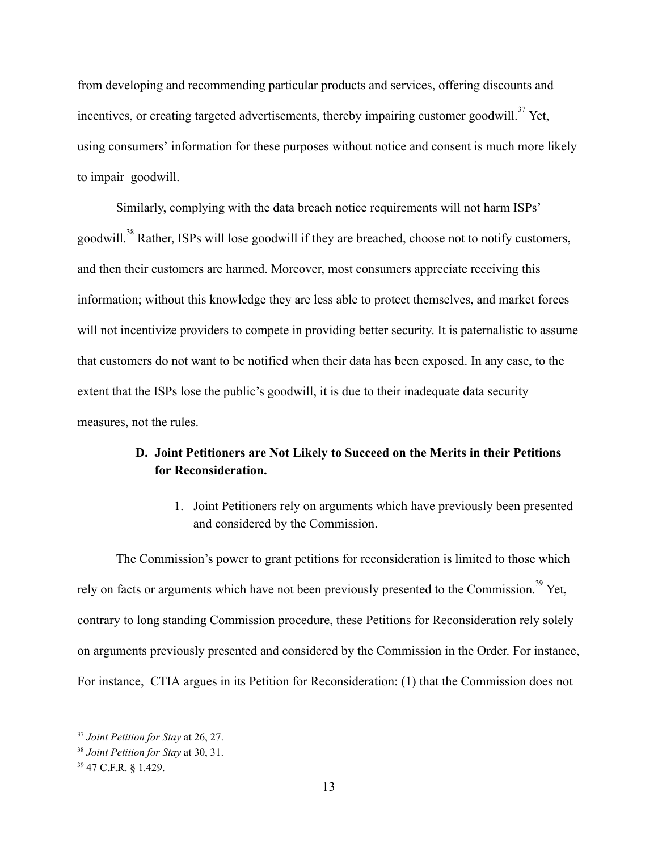from developing and recommending particular products and services, offering discounts and incentives, or creating targeted advertisements, thereby impairing customer goodwill.<sup>37</sup> Yet, using consumers' information for these purposes without notice and consent is much more likely to impair goodwill.

Similarly, complying with the data breach notice requirements will not harm ISPs' goodwill.<sup>38</sup> Rather, ISPs will lose goodwill if they are breached, choose not to notify customers, and then their customers are harmed. Moreover, most consumers appreciate receiving this information; without this knowledge they are less able to protect themselves, and market forces will not incentivize providers to compete in providing better security. It is paternalistic to assume that customers do not want to be notified when their data has been exposed. In any case, to the extent that the ISPs lose the public's goodwill, it is due to their inadequate data security measures, not the rules.

## **D. Joint Petitioners are Not Likely to Succeed on the Merits in their Petitions for Reconsideration.**

1. Joint Petitioners rely on arguments which have previously been presented and considered by the Commission.

The Commission's power to grant petitions for reconsideration is limited to those which rely on facts or arguments which have not been previously presented to the Commission.<sup>39</sup> Yet, contrary to long standing Commission procedure, these Petitions for Reconsideration rely solely on arguments previously presented and considered by the Commission in the Order. For instance, For instance, CTIA argues in its Petition for Reconsideration: (1) that the Commission does not

<sup>37</sup> *Joint Petition for Stay* at 26, 27.

<sup>38</sup> *Joint Petition for Stay* at 30, 31.

<sup>39</sup> 47 C.F.R. **§** 1.429.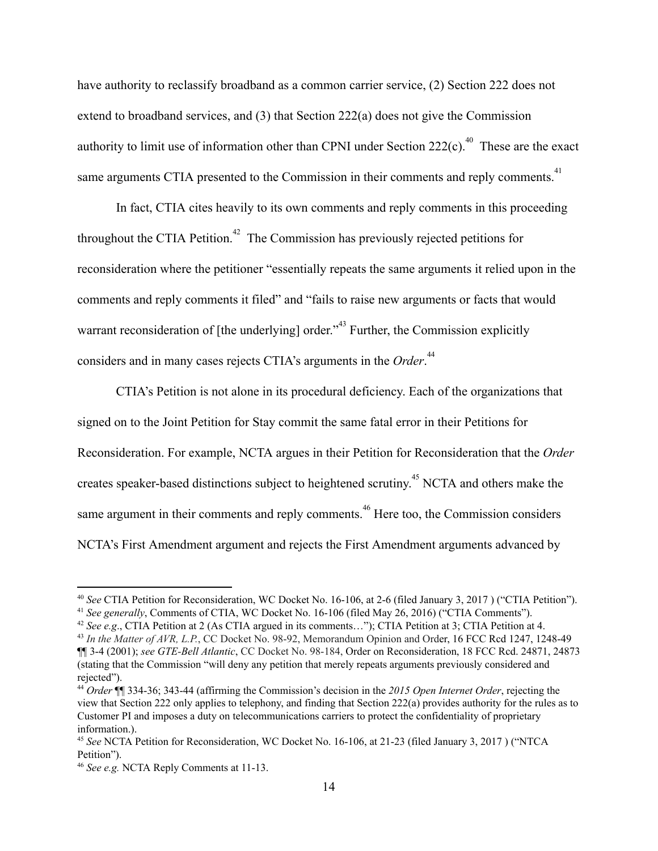have authority to reclassify broadband as a common carrier service, (2) Section 222 does not extend to broadband services, and (3) that Section 222(a) does not give the Commission authority to limit use of information other than CPNI under Section  $222(c)$ .<sup>40</sup> These are the exact same arguments CTIA presented to the Commission in their comments and reply comments.<sup>41</sup>

In fact, CTIA cites heavily to its own comments and reply comments in this proceeding throughout the CTIA Petition.<sup> $42$ </sup> The Commission has previously rejected petitions for reconsideration where the petitioner "essentially repeats the same arguments it relied upon in the comments and reply comments it filed" and "fails to raise new arguments or facts that would warrant reconsideration of  $[$ the underlying $]$  order.<sup> $3$ </sup> Further, the Commission explicitly considers and in many cases rejects CTIA's arguments in the Order.<sup>44</sup>

CTIA's Petition is not alone in its procedural deficiency. Each of the organizations that signed on to the Joint Petition for Stay commit the same fatal error in their Petitions for Reconsideration. For example, NCTA argues in their Petition for Reconsideration that the *Order* creates speaker-based distinctions subject to heightened scrutiny.<sup> $45$ </sup> NCTA and others make the same argument in their comments and reply comments.<sup>46</sup> Here too, the Commission considers NCTA's First Amendment argument and rejects the First Amendment arguments advanced by

<sup>&</sup>lt;sup>40</sup> See CTIA Petition for Reconsideration, WC Docket No. 16-106, at 2-6 (filed January 3, 2017) ("CTIA Petition").

<sup>&</sup>lt;sup>41</sup> See generally, Comments of CTIA, WC Docket No. 16-106 (filed May 26, 2016) ("CTIA Comments").

<sup>42</sup> *See e.g*., CTIA Petition at 2 (As CTIA argued in its comments…"); CTIA Petition at 3; CTIA Petition at 4.

<sup>&</sup>lt;sup>43</sup> In the Matter of AVR, L.P., CC Docket No. 98-92, Memorandum Opinion and Order, 16 FCC Rcd 1247, 1248-49 ¶¶ 34 [\(2001\)](https://1.next.westlaw.com/Link/Document/FullText?findType=Y&serNum=2001046912&pubNum=4493&originatingDoc=Ib4ed45a0e52d11dc8dba9deb08599717&refType=CA&fi=co_pp_sp_4493_1248&originationContext=document&transitionType=DocumentItem&contextData=(sc.Search)#co_pp_sp_4493_1248); *see [GTEBell](https://1.next.westlaw.com/Link/Document/FullText?findType=Y&serNum=2003874776&pubNum=4493&originatingDoc=Ib4ed45a0e52d11dc8dba9deb08599717&refType=CA&fi=co_pp_sp_4493_24873&originationContext=document&transitionType=DocumentItem&contextData=(sc.Search)#co_pp_sp_4493_24873) Atlantic*[,](https://1.next.westlaw.com/Link/Document/FullText?findType=Y&serNum=2003874776&pubNum=4493&originatingDoc=Ib4ed45a0e52d11dc8dba9deb08599717&refType=CA&fi=co_pp_sp_4493_24873&originationContext=document&transitionType=DocumentItem&contextData=(sc.Search)#co_pp_sp_4493_24873) CC Docket No. 98184, Order on [Reconsideration,](https://1.next.westlaw.com/Link/Document/FullText?findType=Y&serNum=2003874776&pubNum=4493&originatingDoc=Ib4ed45a0e52d11dc8dba9deb08599717&refType=CA&fi=co_pp_sp_4493_24873&originationContext=document&transitionType=DocumentItem&contextData=(sc.Search)#co_pp_sp_4493_24873) 18 FCC Rcd. 24871, 24873 (stating that the Commission "will deny any petition that merely repeats arguments previously considered and rejected").

<sup>44</sup> *Order* ¶¶ 33436; 34344 (affirming the Commission's decision in the *2015 Open Internet Order*, rejecting the view that Section 222 only applies to telephony, and finding that Section 222(a) provides authority for the rules as to Customer PI and imposes a duty on telecommunications carriers to protect the confidentiality of proprietary information.).

<sup>&</sup>lt;sup>45</sup> See NCTA Petition for Reconsideration, WC Docket No. 16-106, at 21-23 (filed January 3, 2017) ("NTCA Petition").

<sup>&</sup>lt;sup>46</sup> See e.g. NCTA Reply Comments at 11-13.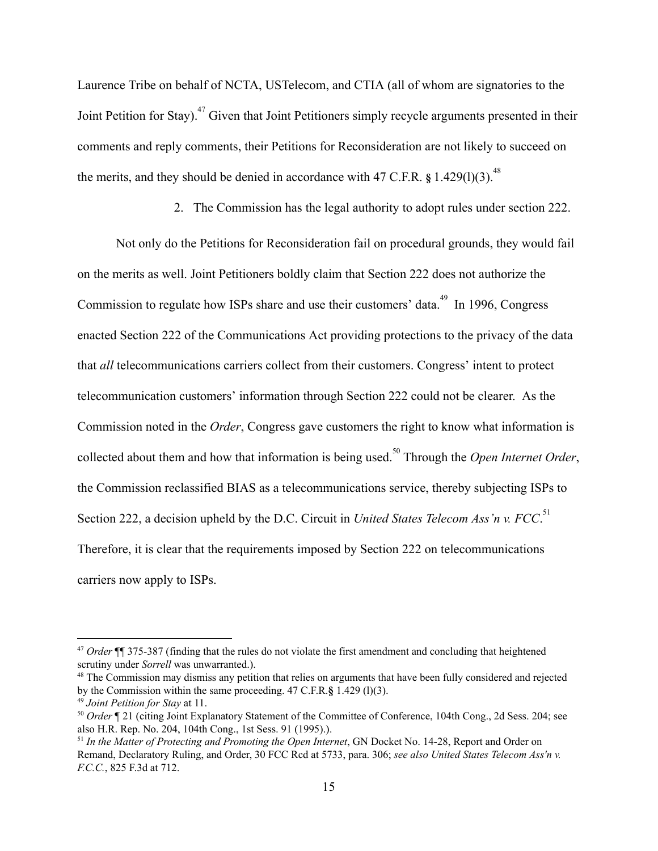Laurence Tribe on behalf of NCTA, USTelecom, and CTIA (all of whom are signatories to the Joint Petition for Stay). <sup>47</sup> Given that Joint Petitioners simply recycle arguments presented in their comments and reply comments, their Petitions for Reconsideration are not likely to succeed on the merits, and they should be denied in accordance with 47 C.F.R. § 1.429(l)(3).<sup>48</sup>

2. The Commission has the legal authority to adopt rules under section 222.

Not only do the Petitions for Reconsideration fail on procedural grounds, they would fail on the merits as well. Joint Petitioners boldly claim that Section 222 does not authorize the Commission to regulate how ISPs share and use their customers' data.<sup>49</sup> In 1996, Congress enacted Section 222 of the Communications Act providing protections to the privacy of the data that *all* telecommunications carriers collect from their customers. Congress' intent to protect telecommunication customers' information through Section 222 could not be clearer. As the Commission noted in the *Order* , Congress gave customers the right to know what information is collected about them and how that information is being used.<sup>50</sup> Through the *Open Internet Order*, the Commission reclassified BIAS as a telecommunications service, thereby subjecting ISPs to Section 222, a decision upheld by the D.C. Circuit in *United States Telecom Ass'n v. FCC*.<sup>51</sup> Therefore, it is clear that the requirements imposed by Section 222 on telecommunications carriers now apply to ISPs.

<sup>47</sup> *Order* ¶¶ 375387 (finding that the rules do not violate the first amendment and concluding that heightened scrutiny under *Sorrell* was unwarranted.).

<sup>&</sup>lt;sup>48</sup> The Commission may dismiss any petition that relies on arguments that have been fully considered and rejected by the [Commission](https://www.law.cornell.edu/definitions/index.php?width=840&height=800&iframe=true&def_id=a6297a35c9ac3fd0044718728be4adbe&term_occur=19&term_src=Title:47:Chapter:I:Subchapter:A:Part:1:Subpart:C:Subjgrp:168:1.429) within the same proceeding. 47 C.F.R.**§** 1.429 (l)(3).

<sup>49</sup> *Joint Petition for Stay* at 11.

<sup>50</sup> *Order* ¶ 21 (citing Joint Explanatory Statement of the Committee of Conference, 104th Cong., 2d Sess. 204; see also H.R. Rep. No. 204, 104th Cong., 1st Sess. 91 (1995).).

<sup>51</sup> *In the Matter of Protecting and Promoting the Open Internet*, GN Docket No. 1428, Report and Order on Remand, Declaratory Ruling, and Order, 30 FCC Rcd at 5733, para. 306; *see also United States Telecom Ass'n v. F.C.C.*, 825 F.3d at 712.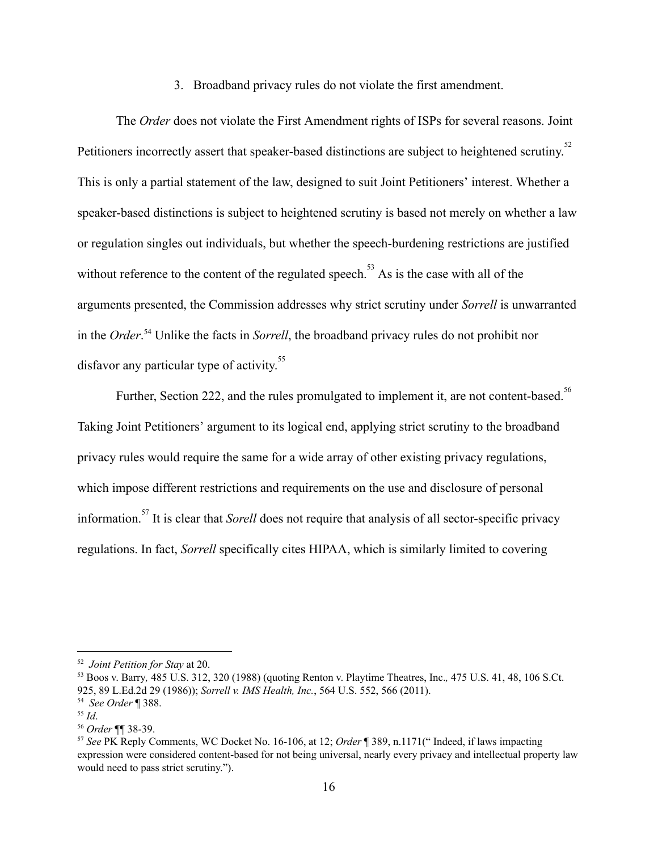3. Broadband privacy rules do not violate the first amendment.

The *Order* does not violate the First Amendment rights of ISPs for several reasons. Joint Petitioners incorrectly assert that speaker-based distinctions are subject to heightened scrutiny.<sup>52</sup> This is only a partial statement of the law, designed to suit Joint Petitioners' interest. Whether a speaker-based distinctions is subject to heightened scrutiny is based not merely on whether a law or regulation singles out individuals, but whether the speech-burdening restrictions are justified without reference to the content of the regulated speech.<sup> $53$ </sup> As is the case with all of the arguments presented, the Commission addresses why strict scrutiny under *Sorrell*  is unwarranted in the *Order*.<sup>54</sup> Unlike the facts in *Sorrell*, the broadband privacy rules do not prohibit nor disfavor any particular type of activity.<sup>55</sup>

Further, Section 222, and the rules promulgated to implement it, are not content-based.<sup>56</sup> Taking Joint Petitioners' argument to its logical end, applying strict scrutiny to the broadband privacy rules would require the same for a wide array of other existing privacy regulations, which impose different restrictions and requirements on the use and disclosure of personal information.<sup>57</sup> It is clear that *Sorell* does not require that analysis of all sector-specific privacy regulations. In fact, *Sorrell* specifically cites HIPAA, which is similarly limited to covering

<sup>52</sup> *Joint Petition for Stay* at 20.

<sup>53</sup> Boos v. [Barry](https://1.next.westlaw.com/Link/Document/FullText?findType=Y&serNum=1988038612&pubNum=0000708&originatingDoc=Ie627fce36f4e11e4b4bafa136b480ad2&refType=RP&originationContext=document&transitionType=DocumentItem&contextData=(sc.Search))*[,](https://1.next.westlaw.com/Link/Document/FullText?findType=Y&serNum=1988038612&pubNum=0000708&originatingDoc=Ie627fce36f4e11e4b4bafa136b480ad2&refType=RP&originationContext=document&transitionType=DocumentItem&contextData=(sc.Search))* 485 U.S. 312, 320 [\(1988\)](https://1.next.westlaw.com/Link/Document/FullText?findType=Y&serNum=1988038612&pubNum=0000708&originatingDoc=Ie627fce36f4e11e4b4bafa136b480ad2&refType=RP&originationContext=document&transitionType=DocumentItem&contextData=(sc.Search)) (quoting Renton v. Playtime [Theatres,](https://1.next.westlaw.com/Link/Document/FullText?findType=Y&serNum=1986109853&pubNum=0000708&originatingDoc=Ie627fce36f4e11e4b4bafa136b480ad2&refType=RP&originationContext=document&transitionType=DocumentItem&contextData=(sc.Search)) Inc.*[,](https://1.next.westlaw.com/Link/Document/FullText?findType=Y&serNum=1986109853&pubNum=0000708&originatingDoc=Ie627fce36f4e11e4b4bafa136b480ad2&refType=RP&originationContext=document&transitionType=DocumentItem&contextData=(sc.Search))* 475 U.S. 41, 48, 106 [S.Ct.](https://1.next.westlaw.com/Link/Document/FullText?findType=Y&serNum=1986109853&pubNum=0000708&originatingDoc=Ie627fce36f4e11e4b4bafa136b480ad2&refType=RP&originationContext=document&transitionType=DocumentItem&contextData=(sc.Search)) 925, 89 [L.Ed.2d](https://1.next.westlaw.com/Link/Document/FullText?findType=Y&serNum=1986109853&pubNum=0000708&originatingDoc=Ie627fce36f4e11e4b4bafa136b480ad2&refType=RP&originationContext=document&transitionType=DocumentItem&contextData=(sc.Search)) 29 (1986)); *Sorrell v. IMS Health, Inc.*, 564 U.S. 552, 566 (2011).

<sup>54</sup> *See Order* ¶ 388.

<sup>55</sup> *Id*.

<sup>56</sup> *Order* ¶¶ 3839.

<sup>57</sup> *See* PK Reply Comments, WC Docket No. 16106, at 12; *Order* ¶ 389, n.1171(" Indeed, if laws impacting expression were considered content-based for not being universal, nearly every privacy and intellectual property law would need to pass strict scrutiny.").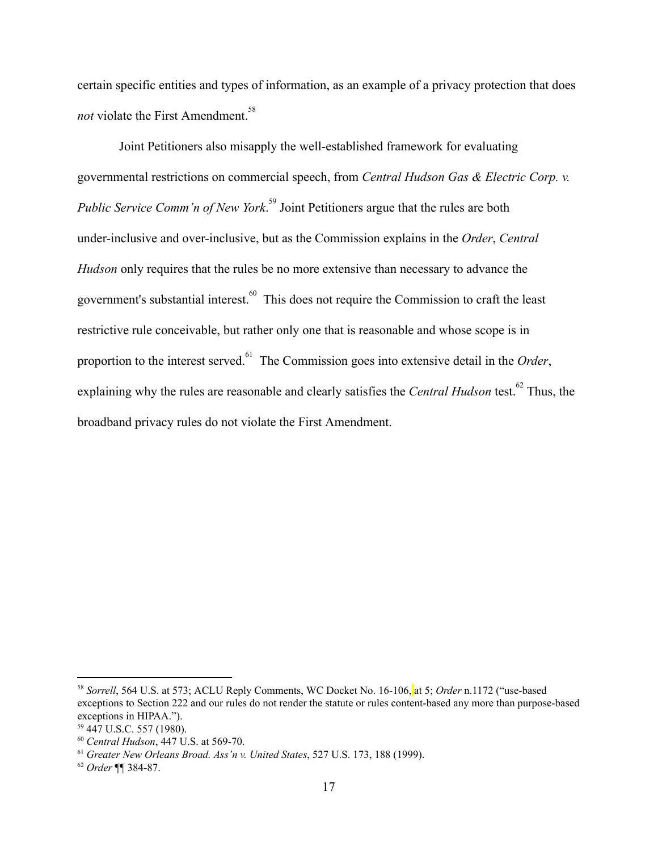certain specific entities and types of information, as an example of a privacy protection that does *not* violate the First Amendment.<sup>58</sup>

Joint Petitioners also misapply the well-established framework for evaluating governmental restrictions on commercial speech, from *Central Hudson Gas & Electric Corp. v. Public Service Comm'n of New York*.<sup>59</sup> Joint Petitioners argue that the rules are both under-inclusive and over-inclusive, but as the Commission explains in the *Order*, *Central Hudson* only requires that the rules be no more extensive than necessary to advance the government's substantial interest. <sup>60</sup> This does not require the Commission to craft the least restrictive rule conceivable, but rather only one that is reasonable and whose scope is in proportion to the interest served.<sup>61</sup> The Commission goes into extensive detail in the *Order*, explaining why the rules are reasonable and clearly satisfies the *Central Hudson* test.<sup>62</sup> Thus, the broadband privacy rules do not violate the First Amendment.

<sup>&</sup>lt;sup>58</sup> Sorrell, 564 U.S. at 573; ACLU Reply Comments, WC Docket No. 16-106, at 5; Order n.1172 ("use-based exceptions to Section 222 and our rules do not render the statute or rules content-based any more than purpose-based exceptions in HIPAA.").

<sup>59</sup> 447 U.S.C. 557 (1980).

<sup>&</sup>lt;sup>60</sup> *Central Hudson*, 447 U.S. at 569-70.

<sup>61</sup> *Greater New Orleans Broad. Ass'n v. United States*, 527 U.S. 173, 188 (1999).

<sup>&</sup>lt;sup>62</sup> *Order* ¶¶ 384-87.